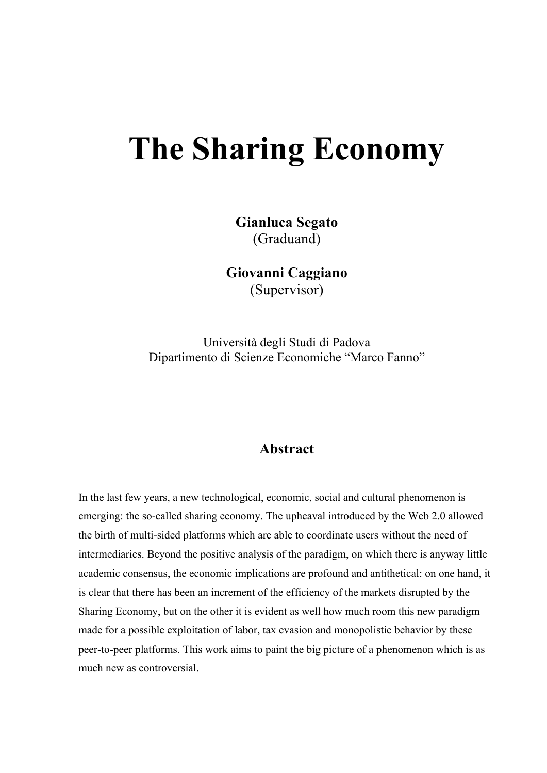# **The Sharing Economy**

**Gianluca Segato** (Graduand)

**Giovanni Caggiano** (Supervisor)

Università degli Studi di Padova Dipartimento di Scienze Economiche "Marco Fanno"

#### **Abstract**

In the last few years, a new technological, economic, social and cultural phenomenon is emerging: the so-called sharing economy. The upheaval introduced by the Web 2.0 allowed the birth of multi-sided platforms which are able to coordinate users without the need of intermediaries. Beyond the positive analysis of the paradigm, on which there is anyway little academic consensus, the economic implications are profound and antithetical: on one hand, it is clear that there has been an increment of the efficiency of the markets disrupted by the Sharing Economy, but on the other it is evident as well how much room this new paradigm made for a possible exploitation of labor, tax evasion and monopolistic behavior by these peer-to-peer platforms. This work aims to paint the big picture of a phenomenon which is as much new as controversial.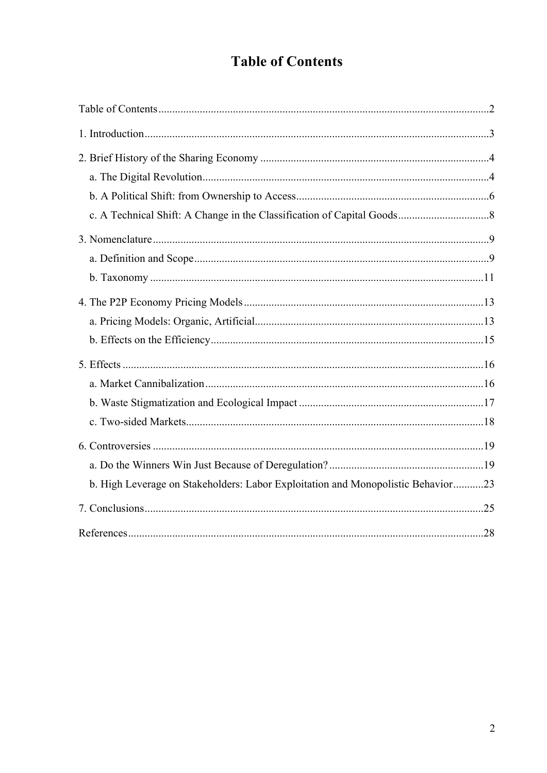# **Table of Contents**

| b. High Leverage on Stakeholders: Labor Exploitation and Monopolistic Behavior23 |  |
|----------------------------------------------------------------------------------|--|
|                                                                                  |  |
|                                                                                  |  |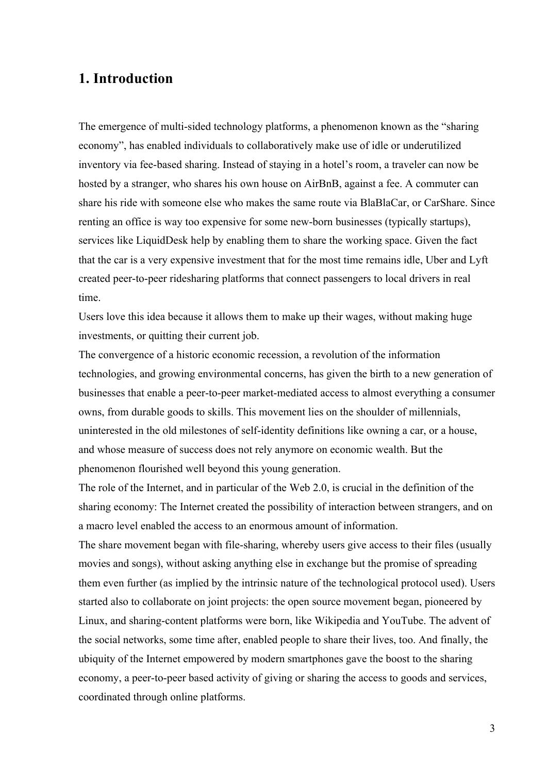## **1. Introduction**

The emergence of multi-sided technology platforms, a phenomenon known as the "sharing economy", has enabled individuals to collaboratively make use of idle or underutilized inventory via fee-based sharing. Instead of staying in a hotel's room, a traveler can now be hosted by a stranger, who shares his own house on AirBnB, against a fee. A commuter can share his ride with someone else who makes the same route via BlaBlaCar, or CarShare. Since renting an office is way too expensive for some new-born businesses (typically startups), services like LiquidDesk help by enabling them to share the working space. Given the fact that the car is a very expensive investment that for the most time remains idle, Uber and Lyft created peer-to-peer ridesharing platforms that connect passengers to local drivers in real time.

Users love this idea because it allows them to make up their wages, without making huge investments, or quitting their current job.

The convergence of a historic economic recession, a revolution of the information technologies, and growing environmental concerns, has given the birth to a new generation of businesses that enable a peer-to-peer market-mediated access to almost everything a consumer owns, from durable goods to skills. This movement lies on the shoulder of millennials, uninterested in the old milestones of self-identity definitions like owning a car, or a house, and whose measure of success does not rely anymore on economic wealth. But the phenomenon flourished well beyond this young generation.

The role of the Internet, and in particular of the Web 2.0, is crucial in the definition of the sharing economy: The Internet created the possibility of interaction between strangers, and on a macro level enabled the access to an enormous amount of information.

The share movement began with file-sharing, whereby users give access to their files (usually movies and songs), without asking anything else in exchange but the promise of spreading them even further (as implied by the intrinsic nature of the technological protocol used). Users started also to collaborate on joint projects: the open source movement began, pioneered by Linux, and sharing-content platforms were born, like Wikipedia and YouTube. The advent of the social networks, some time after, enabled people to share their lives, too. And finally, the ubiquity of the Internet empowered by modern smartphones gave the boost to the sharing economy, a peer-to-peer based activity of giving or sharing the access to goods and services, coordinated through online platforms.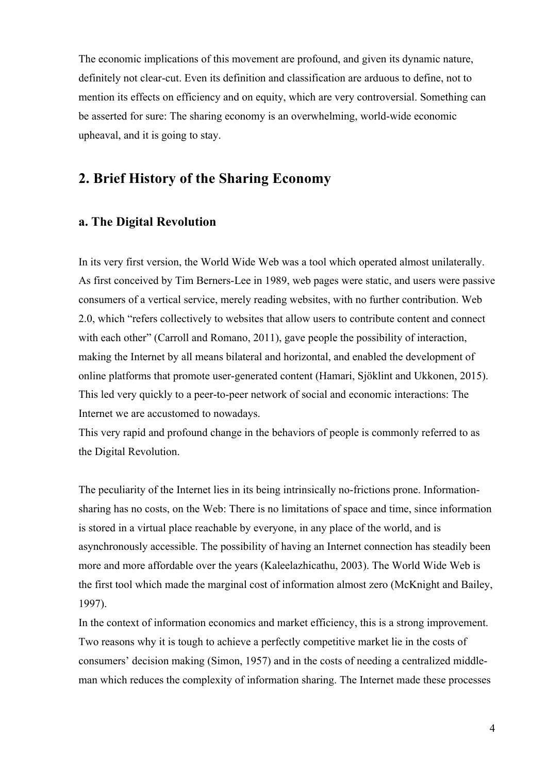The economic implications of this movement are profound, and given its dynamic nature, definitely not clear-cut. Even its definition and classification are arduous to define, not to mention its effects on efficiency and on equity, which are very controversial. Something can be asserted for sure: The sharing economy is an overwhelming, world-wide economic upheaval, and it is going to stay.

## **2. Brief History of the Sharing Economy**

#### **a. The Digital Revolution**

In its very first version, the World Wide Web was a tool which operated almost unilaterally. As first conceived by Tim Berners-Lee in 1989, web pages were static, and users were passive consumers of a vertical service, merely reading websites, with no further contribution. Web 2.0, which "refers collectively to websites that allow users to contribute content and connect with each other" (Carroll and Romano, 2011), gave people the possibility of interaction, making the Internet by all means bilateral and horizontal, and enabled the development of online platforms that promote user-generated content (Hamari, Sjöklint and Ukkonen, 2015). This led very quickly to a peer-to-peer network of social and economic interactions: The Internet we are accustomed to nowadays.

This very rapid and profound change in the behaviors of people is commonly referred to as the Digital Revolution.

The peculiarity of the Internet lies in its being intrinsically no-frictions prone. Informationsharing has no costs, on the Web: There is no limitations of space and time, since information is stored in a virtual place reachable by everyone, in any place of the world, and is asynchronously accessible. The possibility of having an Internet connection has steadily been more and more affordable over the years (Kaleelazhicathu, 2003). The World Wide Web is the first tool which made the marginal cost of information almost zero (McKnight and Bailey, 1997).

In the context of information economics and market efficiency, this is a strong improvement. Two reasons why it is tough to achieve a perfectly competitive market lie in the costs of consumers' decision making (Simon, 1957) and in the costs of needing a centralized middleman which reduces the complexity of information sharing. The Internet made these processes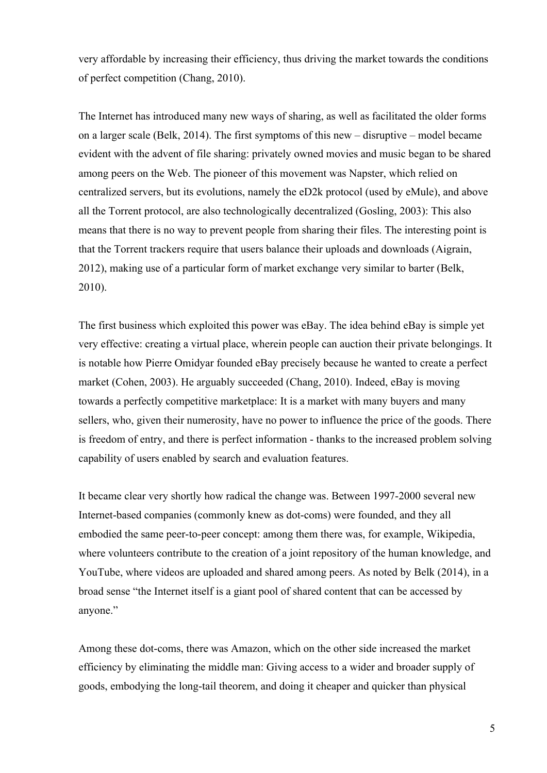very affordable by increasing their efficiency, thus driving the market towards the conditions of perfect competition (Chang, 2010).

The Internet has introduced many new ways of sharing, as well as facilitated the older forms on a larger scale (Belk, 2014). The first symptoms of this new – disruptive – model became evident with the advent of file sharing: privately owned movies and music began to be shared among peers on the Web. The pioneer of this movement was Napster, which relied on centralized servers, but its evolutions, namely the eD2k protocol (used by eMule), and above all the Torrent protocol, are also technologically decentralized (Gosling, 2003): This also means that there is no way to prevent people from sharing their files. The interesting point is that the Torrent trackers require that users balance their uploads and downloads (Aigrain, 2012), making use of a particular form of market exchange very similar to barter (Belk, 2010).

The first business which exploited this power was eBay. The idea behind eBay is simple yet very effective: creating a virtual place, wherein people can auction their private belongings. It is notable how Pierre Omidyar founded eBay precisely because he wanted to create a perfect market (Cohen, 2003). He arguably succeeded (Chang, 2010). Indeed, eBay is moving towards a perfectly competitive marketplace: It is a market with many buyers and many sellers, who, given their numerosity, have no power to influence the price of the goods. There is freedom of entry, and there is perfect information - thanks to the increased problem solving capability of users enabled by search and evaluation features.

It became clear very shortly how radical the change was. Between 1997-2000 several new Internet-based companies (commonly knew as dot-coms) were founded, and they all embodied the same peer-to-peer concept: among them there was, for example, Wikipedia, where volunteers contribute to the creation of a joint repository of the human knowledge, and YouTube, where videos are uploaded and shared among peers. As noted by Belk (2014), in a broad sense "the Internet itself is a giant pool of shared content that can be accessed by anyone."

Among these dot-coms, there was Amazon, which on the other side increased the market efficiency by eliminating the middle man: Giving access to a wider and broader supply of goods, embodying the long-tail theorem, and doing it cheaper and quicker than physical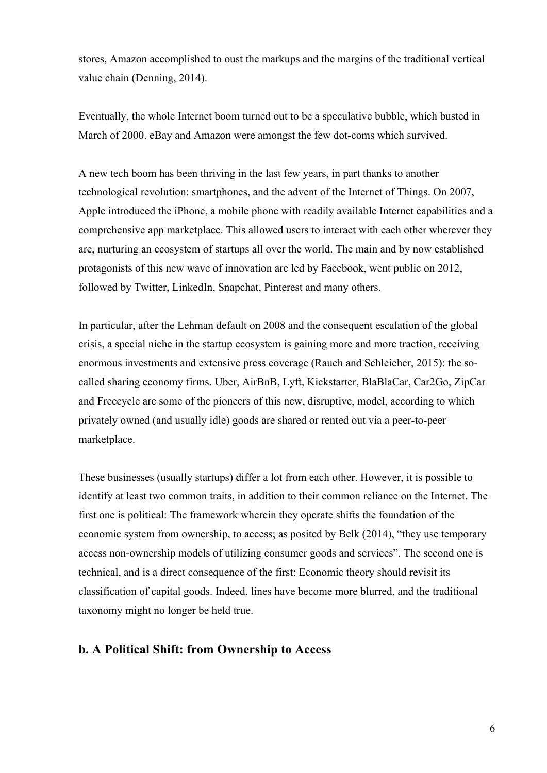stores, Amazon accomplished to oust the markups and the margins of the traditional vertical value chain (Denning, 2014).

Eventually, the whole Internet boom turned out to be a speculative bubble, which busted in March of 2000. eBay and Amazon were amongst the few dot-coms which survived.

A new tech boom has been thriving in the last few years, in part thanks to another technological revolution: smartphones, and the advent of the Internet of Things. On 2007, Apple introduced the iPhone, a mobile phone with readily available Internet capabilities and a comprehensive app marketplace. This allowed users to interact with each other wherever they are, nurturing an ecosystem of startups all over the world. The main and by now established protagonists of this new wave of innovation are led by Facebook, went public on 2012, followed by Twitter, LinkedIn, Snapchat, Pinterest and many others.

In particular, after the Lehman default on 2008 and the consequent escalation of the global crisis, a special niche in the startup ecosystem is gaining more and more traction, receiving enormous investments and extensive press coverage (Rauch and Schleicher, 2015): the socalled sharing economy firms. Uber, AirBnB, Lyft, Kickstarter, BlaBlaCar, Car2Go, ZipCar and Freecycle are some of the pioneers of this new, disruptive, model, according to which privately owned (and usually idle) goods are shared or rented out via a peer-to-peer marketplace.

These businesses (usually startups) differ a lot from each other. However, it is possible to identify at least two common traits, in addition to their common reliance on the Internet. The first one is political: The framework wherein they operate shifts the foundation of the economic system from ownership, to access; as posited by Belk (2014), "they use temporary access non-ownership models of utilizing consumer goods and services". The second one is technical, and is a direct consequence of the first: Economic theory should revisit its classification of capital goods. Indeed, lines have become more blurred, and the traditional taxonomy might no longer be held true.

#### **b. A Political Shift: from Ownership to Access**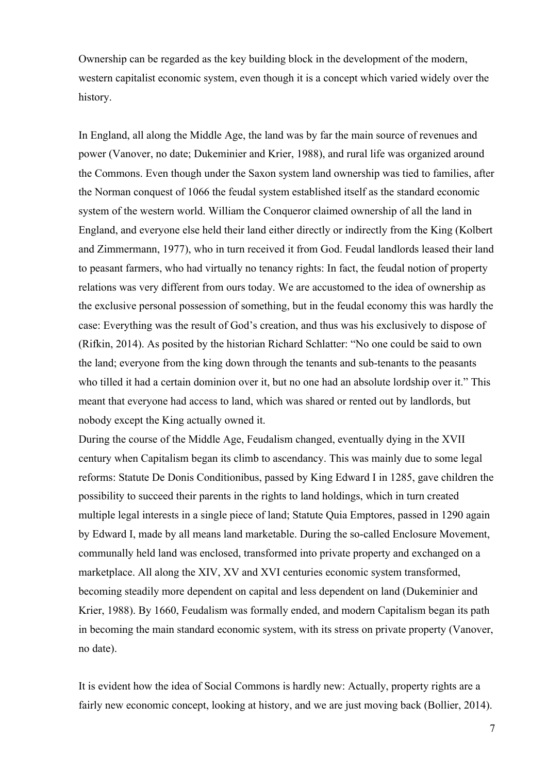Ownership can be regarded as the key building block in the development of the modern, western capitalist economic system, even though it is a concept which varied widely over the history.

In England, all along the Middle Age, the land was by far the main source of revenues and power (Vanover, no date; Dukeminier and Krier, 1988), and rural life was organized around the Commons. Even though under the Saxon system land ownership was tied to families, after the Norman conquest of 1066 the feudal system established itself as the standard economic system of the western world. William the Conqueror claimed ownership of all the land in England, and everyone else held their land either directly or indirectly from the King (Kolbert and Zimmermann, 1977), who in turn received it from God. Feudal landlords leased their land to peasant farmers, who had virtually no tenancy rights: In fact, the feudal notion of property relations was very different from ours today. We are accustomed to the idea of ownership as the exclusive personal possession of something, but in the feudal economy this was hardly the case: Everything was the result of God's creation, and thus was his exclusively to dispose of (Rifkin, 2014). As posited by the historian Richard Schlatter: "No one could be said to own the land; everyone from the king down through the tenants and sub-tenants to the peasants who tilled it had a certain dominion over it, but no one had an absolute lordship over it." This meant that everyone had access to land, which was shared or rented out by landlords, but nobody except the King actually owned it.

During the course of the Middle Age, Feudalism changed, eventually dying in the XVII century when Capitalism began its climb to ascendancy. This was mainly due to some legal reforms: Statute De Donis Conditionibus, passed by King Edward I in 1285, gave children the possibility to succeed their parents in the rights to land holdings, which in turn created multiple legal interests in a single piece of land; Statute Quia Emptores, passed in 1290 again by Edward I, made by all means land marketable. During the so-called Enclosure Movement, communally held land was enclosed, transformed into private property and exchanged on a marketplace. All along the XIV, XV and XVI centuries economic system transformed, becoming steadily more dependent on capital and less dependent on land (Dukeminier and Krier, 1988). By 1660, Feudalism was formally ended, and modern Capitalism began its path in becoming the main standard economic system, with its stress on private property (Vanover, no date).

It is evident how the idea of Social Commons is hardly new: Actually, property rights are a fairly new economic concept, looking at history, and we are just moving back (Bollier, 2014).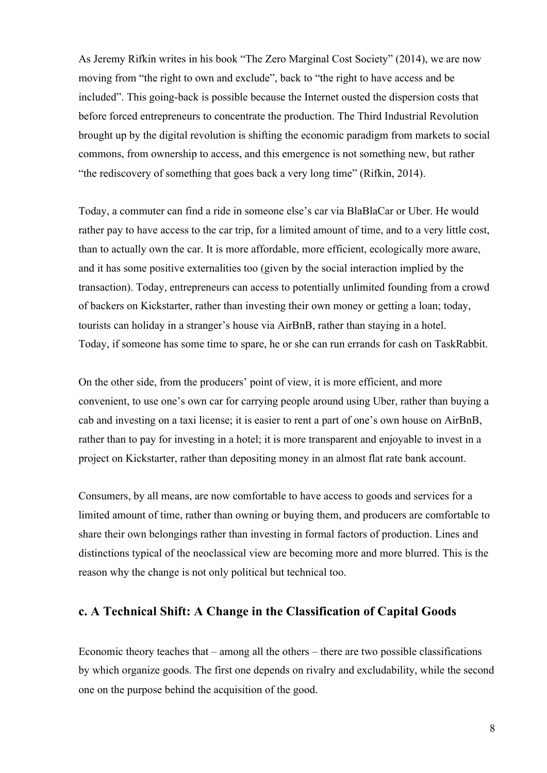As Jeremy Rifkin writes in his book "The Zero Marginal Cost Society" (2014), we are now moving from "the right to own and exclude", back to "the right to have access and be included". This going-back is possible because the Internet ousted the dispersion costs that before forced entrepreneurs to concentrate the production. The Third Industrial Revolution brought up by the digital revolution is shifting the economic paradigm from markets to social commons, from ownership to access, and this emergence is not something new, but rather "the rediscovery of something that goes back a very long time" (Rifkin, 2014).

Today, a commuter can find a ride in someone else's car via BlaBlaCar or Uber. He would rather pay to have access to the car trip, for a limited amount of time, and to a very little cost, than to actually own the car. It is more affordable, more efficient, ecologically more aware, and it has some positive externalities too (given by the social interaction implied by the transaction). Today, entrepreneurs can access to potentially unlimited founding from a crowd of backers on Kickstarter, rather than investing their own money or getting a loan; today, tourists can holiday in a stranger's house via AirBnB, rather than staying in a hotel. Today, if someone has some time to spare, he or she can run errands for cash on TaskRabbit.

On the other side, from the producers' point of view, it is more efficient, and more convenient, to use one's own car for carrying people around using Uber, rather than buying a cab and investing on a taxi license; it is easier to rent a part of one's own house on AirBnB, rather than to pay for investing in a hotel; it is more transparent and enjoyable to invest in a project on Kickstarter, rather than depositing money in an almost flat rate bank account.

Consumers, by all means, are now comfortable to have access to goods and services for a limited amount of time, rather than owning or buying them, and producers are comfortable to share their own belongings rather than investing in formal factors of production. Lines and distinctions typical of the neoclassical view are becoming more and more blurred. This is the reason why the change is not only political but technical too.

#### **c. A Technical Shift: A Change in the Classification of Capital Goods**

Economic theory teaches that – among all the others – there are two possible classifications by which organize goods. The first one depends on rivalry and excludability, while the second one on the purpose behind the acquisition of the good.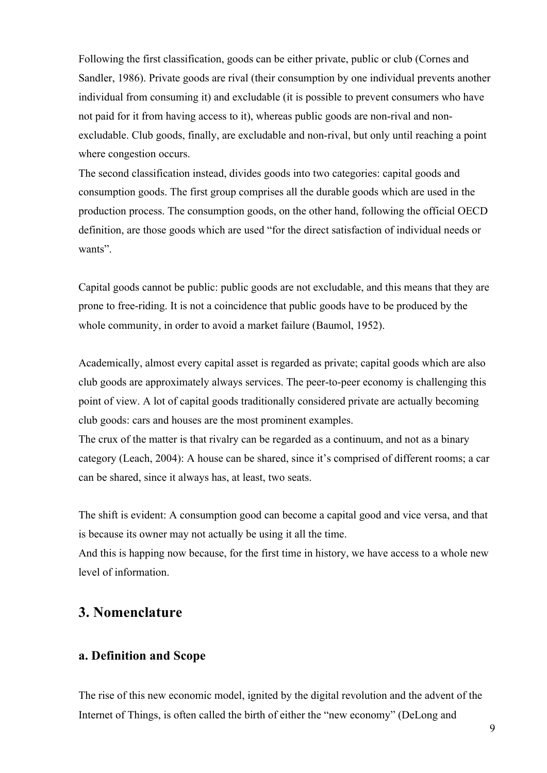Following the first classification, goods can be either private, public or club (Cornes and Sandler, 1986). Private goods are rival (their consumption by one individual prevents another individual from consuming it) and excludable (it is possible to prevent consumers who have not paid for it from having access to it), whereas public goods are non-rival and nonexcludable. Club goods, finally, are excludable and non-rival, but only until reaching a point where congestion occurs.

The second classification instead, divides goods into two categories: capital goods and consumption goods. The first group comprises all the durable goods which are used in the production process. The consumption goods, on the other hand, following the official OECD definition, are those goods which are used "for the direct satisfaction of individual needs or wants".

Capital goods cannot be public: public goods are not excludable, and this means that they are prone to free-riding. It is not a coincidence that public goods have to be produced by the whole community, in order to avoid a market failure (Baumol, 1952).

Academically, almost every capital asset is regarded as private; capital goods which are also club goods are approximately always services. The peer-to-peer economy is challenging this point of view. A lot of capital goods traditionally considered private are actually becoming club goods: cars and houses are the most prominent examples.

The crux of the matter is that rivalry can be regarded as a continuum, and not as a binary category (Leach, 2004): A house can be shared, since it's comprised of different rooms; a car can be shared, since it always has, at least, two seats.

The shift is evident: A consumption good can become a capital good and vice versa, and that is because its owner may not actually be using it all the time.

And this is happing now because, for the first time in history, we have access to a whole new level of information.

## **3. Nomenclature**

#### **a. Definition and Scope**

The rise of this new economic model, ignited by the digital revolution and the advent of the Internet of Things, is often called the birth of either the "new economy" (DeLong and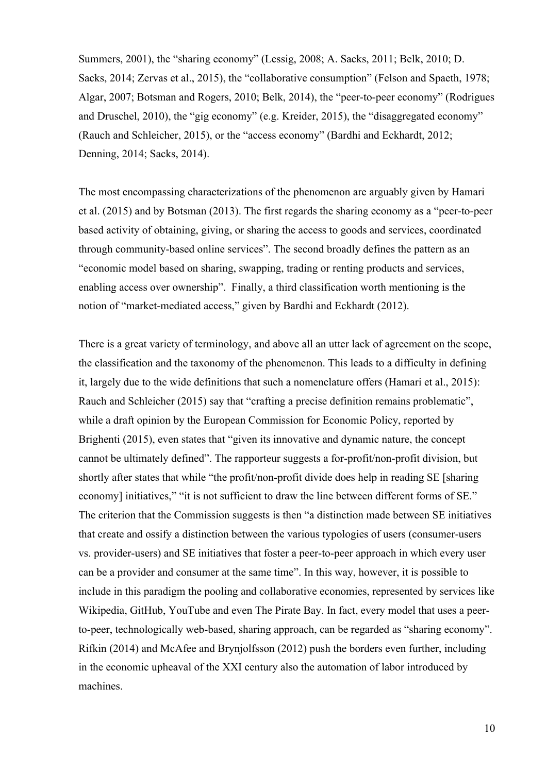Summers, 2001), the "sharing economy" (Lessig, 2008; A. Sacks, 2011; Belk, 2010; D. Sacks, 2014; Zervas et al., 2015), the "collaborative consumption" (Felson and Spaeth, 1978; Algar, 2007; Botsman and Rogers, 2010; Belk, 2014), the "peer-to-peer economy" (Rodrigues and Druschel, 2010), the "gig economy" (e.g. Kreider, 2015), the "disaggregated economy" (Rauch and Schleicher, 2015), or the "access economy" (Bardhi and Eckhardt, 2012; Denning, 2014; Sacks, 2014).

The most encompassing characterizations of the phenomenon are arguably given by Hamari et al. (2015) and by Botsman (2013). The first regards the sharing economy as a "peer-to-peer based activity of obtaining, giving, or sharing the access to goods and services, coordinated through community-based online services". The second broadly defines the pattern as an "economic model based on sharing, swapping, trading or renting products and services, enabling access over ownership". Finally, a third classification worth mentioning is the notion of "market-mediated access," given by Bardhi and Eckhardt (2012).

There is a great variety of terminology, and above all an utter lack of agreement on the scope, the classification and the taxonomy of the phenomenon. This leads to a difficulty in defining it, largely due to the wide definitions that such a nomenclature offers (Hamari et al., 2015): Rauch and Schleicher (2015) say that "crafting a precise definition remains problematic", while a draft opinion by the European Commission for Economic Policy, reported by Brighenti (2015), even states that "given its innovative and dynamic nature, the concept cannot be ultimately defined". The rapporteur suggests a for-profit/non-profit division, but shortly after states that while "the profit/non-profit divide does help in reading SE [sharing economy] initiatives," "it is not sufficient to draw the line between different forms of SE." The criterion that the Commission suggests is then "a distinction made between SE initiatives that create and ossify a distinction between the various typologies of users (consumer-users vs. provider-users) and SE initiatives that foster a peer-to-peer approach in which every user can be a provider and consumer at the same time". In this way, however, it is possible to include in this paradigm the pooling and collaborative economies, represented by services like Wikipedia, GitHub, YouTube and even The Pirate Bay. In fact, every model that uses a peerto-peer, technologically web-based, sharing approach, can be regarded as "sharing economy". Rifkin (2014) and McAfee and Brynjolfsson (2012) push the borders even further, including in the economic upheaval of the XXI century also the automation of labor introduced by machines.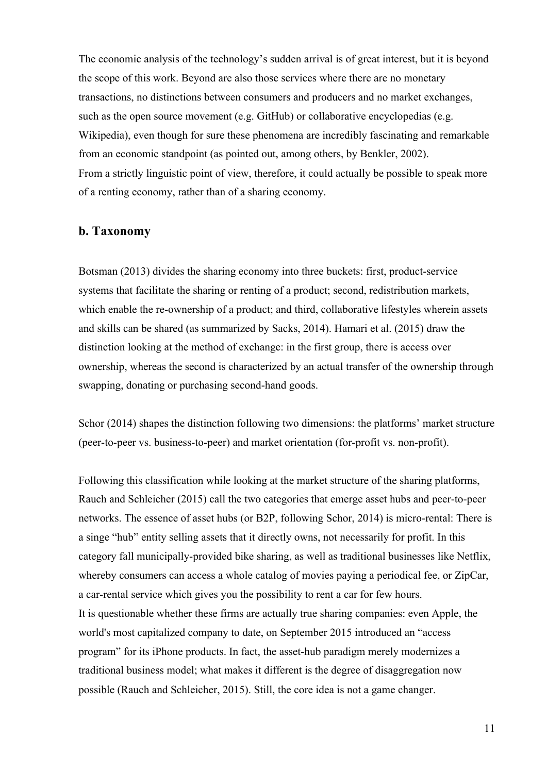The economic analysis of the technology's sudden arrival is of great interest, but it is beyond the scope of this work. Beyond are also those services where there are no monetary transactions, no distinctions between consumers and producers and no market exchanges, such as the open source movement (e.g. GitHub) or collaborative encyclopedias (e.g. Wikipedia), even though for sure these phenomena are incredibly fascinating and remarkable from an economic standpoint (as pointed out, among others, by Benkler, 2002). From a strictly linguistic point of view, therefore, it could actually be possible to speak more of a renting economy, rather than of a sharing economy.

#### **b. Taxonomy**

Botsman (2013) divides the sharing economy into three buckets: first, product-service systems that facilitate the sharing or renting of a product; second, redistribution markets, which enable the re-ownership of a product; and third, collaborative lifestyles wherein assets and skills can be shared (as summarized by Sacks, 2014). Hamari et al. (2015) draw the distinction looking at the method of exchange: in the first group, there is access over ownership, whereas the second is characterized by an actual transfer of the ownership through swapping, donating or purchasing second-hand goods.

Schor (2014) shapes the distinction following two dimensions: the platforms' market structure (peer-to-peer vs. business-to-peer) and market orientation (for-profit vs. non-profit).

Following this classification while looking at the market structure of the sharing platforms, Rauch and Schleicher (2015) call the two categories that emerge asset hubs and peer-to-peer networks. The essence of asset hubs (or B2P, following Schor, 2014) is micro-rental: There is a singe "hub" entity selling assets that it directly owns, not necessarily for profit. In this category fall municipally-provided bike sharing, as well as traditional businesses like Netflix, whereby consumers can access a whole catalog of movies paying a periodical fee, or ZipCar, a car-rental service which gives you the possibility to rent a car for few hours. It is questionable whether these firms are actually true sharing companies: even Apple, the world's most capitalized company to date, on September 2015 introduced an "access program" for its iPhone products. In fact, the asset-hub paradigm merely modernizes a traditional business model; what makes it different is the degree of disaggregation now possible (Rauch and Schleicher, 2015). Still, the core idea is not a game changer.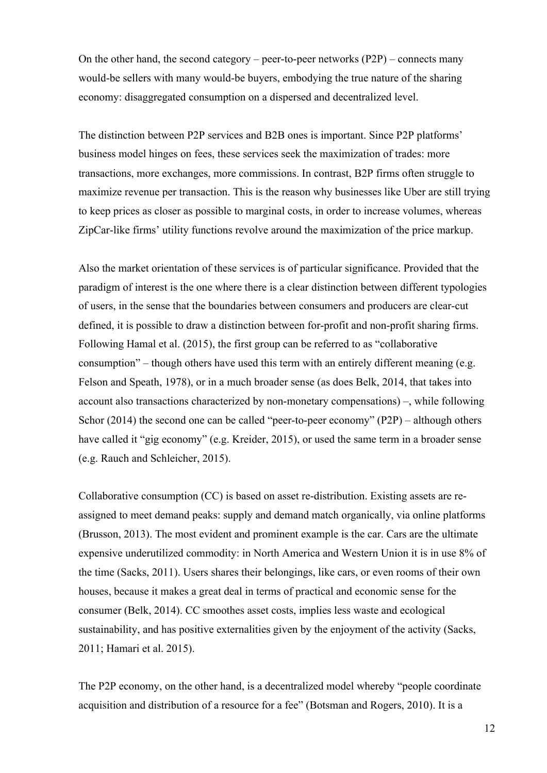On the other hand, the second category – peer-to-peer networks (P2P) – connects many would-be sellers with many would-be buyers, embodying the true nature of the sharing economy: disaggregated consumption on a dispersed and decentralized level.

The distinction between P2P services and B2B ones is important. Since P2P platforms' business model hinges on fees, these services seek the maximization of trades: more transactions, more exchanges, more commissions. In contrast, B2P firms often struggle to maximize revenue per transaction. This is the reason why businesses like Uber are still trying to keep prices as closer as possible to marginal costs, in order to increase volumes, whereas ZipCar-like firms' utility functions revolve around the maximization of the price markup.

Also the market orientation of these services is of particular significance. Provided that the paradigm of interest is the one where there is a clear distinction between different typologies of users, in the sense that the boundaries between consumers and producers are clear-cut defined, it is possible to draw a distinction between for-profit and non-profit sharing firms. Following Hamal et al. (2015), the first group can be referred to as "collaborative consumption" – though others have used this term with an entirely different meaning (e.g. Felson and Speath, 1978), or in a much broader sense (as does Belk, 2014, that takes into account also transactions characterized by non-monetary compensations) –, while following Schor (2014) the second one can be called "peer-to-peer economy" (P2P) – although others have called it "gig economy" (e.g. Kreider, 2015), or used the same term in a broader sense (e.g. Rauch and Schleicher, 2015).

Collaborative consumption (CC) is based on asset re-distribution. Existing assets are reassigned to meet demand peaks: supply and demand match organically, via online platforms (Brusson, 2013). The most evident and prominent example is the car. Cars are the ultimate expensive underutilized commodity: in North America and Western Union it is in use 8% of the time (Sacks, 2011). Users shares their belongings, like cars, or even rooms of their own houses, because it makes a great deal in terms of practical and economic sense for the consumer (Belk, 2014). CC smoothes asset costs, implies less waste and ecological sustainability, and has positive externalities given by the enjoyment of the activity (Sacks, 2011; Hamari et al. 2015).

The P2P economy, on the other hand, is a decentralized model whereby "people coordinate acquisition and distribution of a resource for a fee" (Botsman and Rogers, 2010). It is a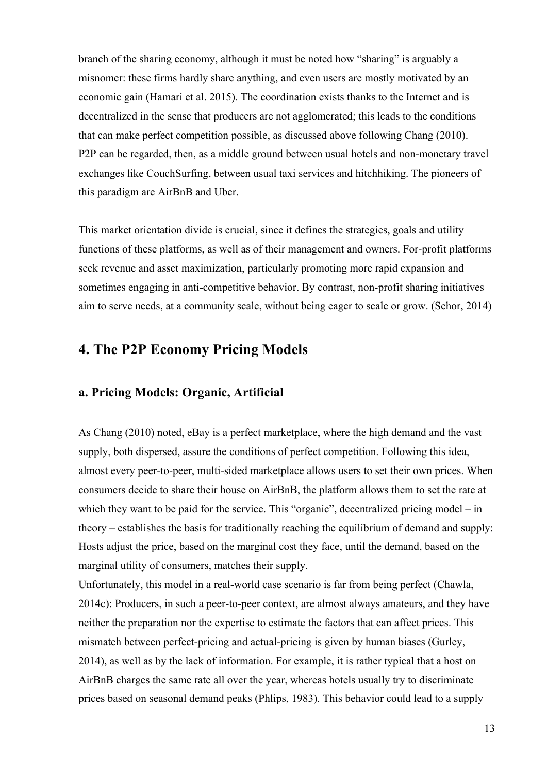branch of the sharing economy, although it must be noted how "sharing" is arguably a misnomer: these firms hardly share anything, and even users are mostly motivated by an economic gain (Hamari et al. 2015). The coordination exists thanks to the Internet and is decentralized in the sense that producers are not agglomerated; this leads to the conditions that can make perfect competition possible, as discussed above following Chang (2010). P2P can be regarded, then, as a middle ground between usual hotels and non-monetary travel exchanges like CouchSurfing, between usual taxi services and hitchhiking. The pioneers of this paradigm are AirBnB and Uber.

This market orientation divide is crucial, since it defines the strategies, goals and utility functions of these platforms, as well as of their management and owners. For-profit platforms seek revenue and asset maximization, particularly promoting more rapid expansion and sometimes engaging in anti-competitive behavior. By contrast, non-profit sharing initiatives aim to serve needs, at a community scale, without being eager to scale or grow. (Schor, 2014)

## **4. The P2P Economy Pricing Models**

#### **a. Pricing Models: Organic, Artificial**

As Chang (2010) noted, eBay is a perfect marketplace, where the high demand and the vast supply, both dispersed, assure the conditions of perfect competition. Following this idea, almost every peer-to-peer, multi-sided marketplace allows users to set their own prices. When consumers decide to share their house on AirBnB, the platform allows them to set the rate at which they want to be paid for the service. This "organic", decentralized pricing model – in theory – establishes the basis for traditionally reaching the equilibrium of demand and supply: Hosts adjust the price, based on the marginal cost they face, until the demand, based on the marginal utility of consumers, matches their supply.

Unfortunately, this model in a real-world case scenario is far from being perfect (Chawla, 2014c): Producers, in such a peer-to-peer context, are almost always amateurs, and they have neither the preparation nor the expertise to estimate the factors that can affect prices. This mismatch between perfect-pricing and actual-pricing is given by human biases (Gurley, 2014), as well as by the lack of information. For example, it is rather typical that a host on AirBnB charges the same rate all over the year, whereas hotels usually try to discriminate prices based on seasonal demand peaks (Phlips, 1983). This behavior could lead to a supply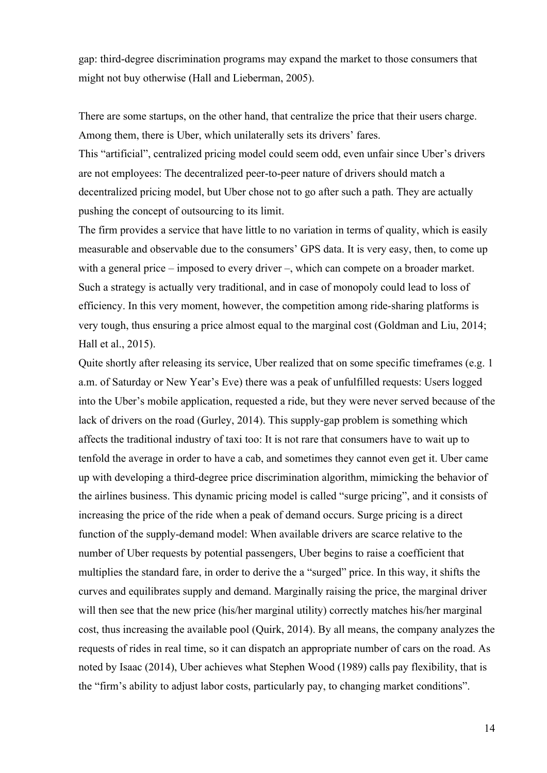gap: third-degree discrimination programs may expand the market to those consumers that might not buy otherwise (Hall and Lieberman, 2005).

There are some startups, on the other hand, that centralize the price that their users charge. Among them, there is Uber, which unilaterally sets its drivers' fares.

This "artificial", centralized pricing model could seem odd, even unfair since Uber's drivers are not employees: The decentralized peer-to-peer nature of drivers should match a decentralized pricing model, but Uber chose not to go after such a path. They are actually pushing the concept of outsourcing to its limit.

The firm provides a service that have little to no variation in terms of quality, which is easily measurable and observable due to the consumers' GPS data. It is very easy, then, to come up with a general price – imposed to every driver –, which can compete on a broader market. Such a strategy is actually very traditional, and in case of monopoly could lead to loss of efficiency. In this very moment, however, the competition among ride-sharing platforms is very tough, thus ensuring a price almost equal to the marginal cost (Goldman and Liu, 2014; Hall et al., 2015).

Quite shortly after releasing its service, Uber realized that on some specific timeframes (e.g. 1 a.m. of Saturday or New Year's Eve) there was a peak of unfulfilled requests: Users logged into the Uber's mobile application, requested a ride, but they were never served because of the lack of drivers on the road (Gurley, 2014). This supply-gap problem is something which affects the traditional industry of taxi too: It is not rare that consumers have to wait up to tenfold the average in order to have a cab, and sometimes they cannot even get it. Uber came up with developing a third-degree price discrimination algorithm, mimicking the behavior of the airlines business. This dynamic pricing model is called "surge pricing", and it consists of increasing the price of the ride when a peak of demand occurs. Surge pricing is a direct function of the supply-demand model: When available drivers are scarce relative to the number of Uber requests by potential passengers, Uber begins to raise a coefficient that multiplies the standard fare, in order to derive the a "surged" price. In this way, it shifts the curves and equilibrates supply and demand. Marginally raising the price, the marginal driver will then see that the new price (his/her marginal utility) correctly matches his/her marginal cost, thus increasing the available pool (Quirk, 2014). By all means, the company analyzes the requests of rides in real time, so it can dispatch an appropriate number of cars on the road. As noted by Isaac (2014), Uber achieves what Stephen Wood (1989) calls pay flexibility, that is the "firm's ability to adjust labor costs, particularly pay, to changing market conditions".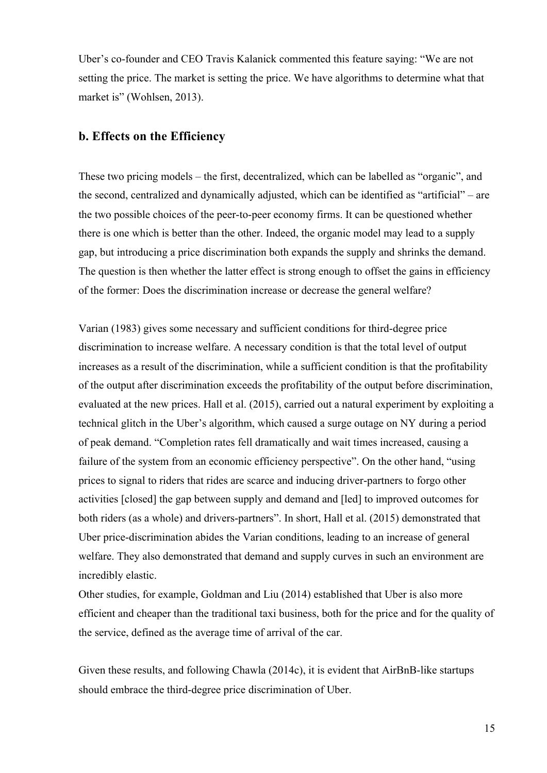Uber's co-founder and CEO Travis Kalanick commented this feature saying: "We are not setting the price. The market is setting the price. We have algorithms to determine what that market is" (Wohlsen, 2013).

#### **b. Effects on the Efficiency**

These two pricing models – the first, decentralized, which can be labelled as "organic", and the second, centralized and dynamically adjusted, which can be identified as "artificial" – are the two possible choices of the peer-to-peer economy firms. It can be questioned whether there is one which is better than the other. Indeed, the organic model may lead to a supply gap, but introducing a price discrimination both expands the supply and shrinks the demand. The question is then whether the latter effect is strong enough to offset the gains in efficiency of the former: Does the discrimination increase or decrease the general welfare?

Varian (1983) gives some necessary and sufficient conditions for third-degree price discrimination to increase welfare. A necessary condition is that the total level of output increases as a result of the discrimination, while a sufficient condition is that the profitability of the output after discrimination exceeds the profitability of the output before discrimination, evaluated at the new prices. Hall et al. (2015), carried out a natural experiment by exploiting a technical glitch in the Uber's algorithm, which caused a surge outage on NY during a period of peak demand. "Completion rates fell dramatically and wait times increased, causing a failure of the system from an economic efficiency perspective". On the other hand, "using prices to signal to riders that rides are scarce and inducing driver-partners to forgo other activities [closed] the gap between supply and demand and [led] to improved outcomes for both riders (as a whole) and drivers-partners". In short, Hall et al. (2015) demonstrated that Uber price-discrimination abides the Varian conditions, leading to an increase of general welfare. They also demonstrated that demand and supply curves in such an environment are incredibly elastic.

Other studies, for example, Goldman and Liu (2014) established that Uber is also more efficient and cheaper than the traditional taxi business, both for the price and for the quality of the service, defined as the average time of arrival of the car.

Given these results, and following Chawla (2014c), it is evident that AirBnB-like startups should embrace the third-degree price discrimination of Uber.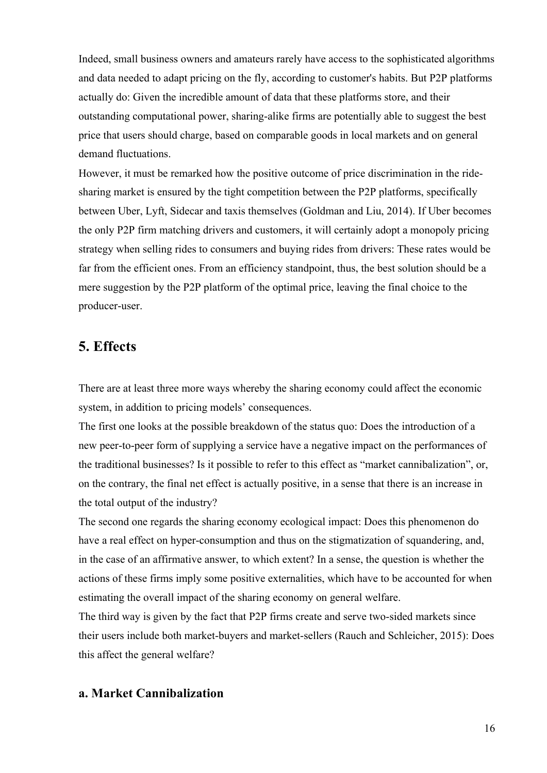Indeed, small business owners and amateurs rarely have access to the sophisticated algorithms and data needed to adapt pricing on the fly, according to customer's habits. But P2P platforms actually do: Given the incredible amount of data that these platforms store, and their outstanding computational power, sharing-alike firms are potentially able to suggest the best price that users should charge, based on comparable goods in local markets and on general demand fluctuations.

However, it must be remarked how the positive outcome of price discrimination in the ridesharing market is ensured by the tight competition between the P2P platforms, specifically between Uber, Lyft, Sidecar and taxis themselves (Goldman and Liu, 2014). If Uber becomes the only P2P firm matching drivers and customers, it will certainly adopt a monopoly pricing strategy when selling rides to consumers and buying rides from drivers: These rates would be far from the efficient ones. From an efficiency standpoint, thus, the best solution should be a mere suggestion by the P2P platform of the optimal price, leaving the final choice to the producer-user.

## **5. Effects**

There are at least three more ways whereby the sharing economy could affect the economic system, in addition to pricing models' consequences.

The first one looks at the possible breakdown of the status quo: Does the introduction of a new peer-to-peer form of supplying a service have a negative impact on the performances of the traditional businesses? Is it possible to refer to this effect as "market cannibalization", or, on the contrary, the final net effect is actually positive, in a sense that there is an increase in the total output of the industry?

The second one regards the sharing economy ecological impact: Does this phenomenon do have a real effect on hyper-consumption and thus on the stigmatization of squandering, and, in the case of an affirmative answer, to which extent? In a sense, the question is whether the actions of these firms imply some positive externalities, which have to be accounted for when estimating the overall impact of the sharing economy on general welfare.

The third way is given by the fact that P2P firms create and serve two-sided markets since their users include both market-buyers and market-sellers (Rauch and Schleicher, 2015): Does this affect the general welfare?

#### **a. Market Cannibalization**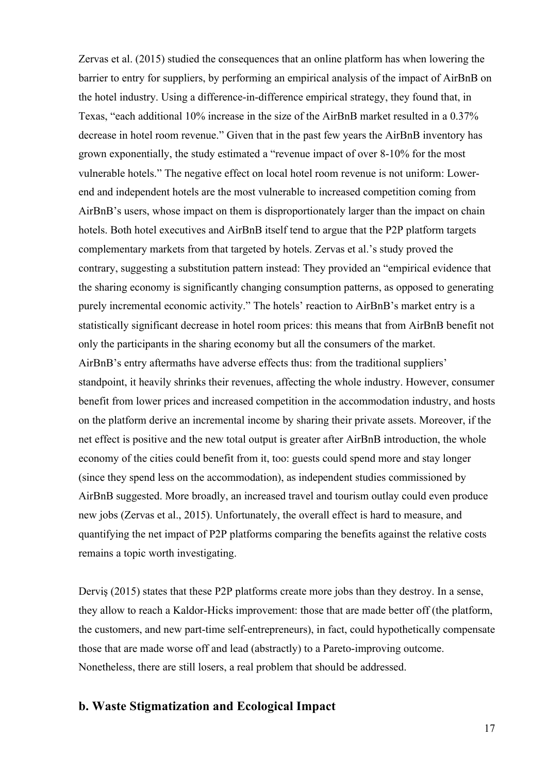Zervas et al. (2015) studied the consequences that an online platform has when lowering the barrier to entry for suppliers, by performing an empirical analysis of the impact of AirBnB on the hotel industry. Using a difference-in-difference empirical strategy, they found that, in Texas, "each additional 10% increase in the size of the AirBnB market resulted in a 0.37% decrease in hotel room revenue." Given that in the past few years the AirBnB inventory has grown exponentially, the study estimated a "revenue impact of over 8-10% for the most vulnerable hotels." The negative effect on local hotel room revenue is not uniform: Lowerend and independent hotels are the most vulnerable to increased competition coming from AirBnB's users, whose impact on them is disproportionately larger than the impact on chain hotels. Both hotel executives and AirBnB itself tend to argue that the P2P platform targets complementary markets from that targeted by hotels. Zervas et al.'s study proved the contrary, suggesting a substitution pattern instead: They provided an "empirical evidence that the sharing economy is significantly changing consumption patterns, as opposed to generating purely incremental economic activity." The hotels' reaction to AirBnB's market entry is a statistically significant decrease in hotel room prices: this means that from AirBnB benefit not only the participants in the sharing economy but all the consumers of the market. AirBnB's entry aftermaths have adverse effects thus: from the traditional suppliers' standpoint, it heavily shrinks their revenues, affecting the whole industry. However, consumer benefit from lower prices and increased competition in the accommodation industry, and hosts on the platform derive an incremental income by sharing their private assets. Moreover, if the net effect is positive and the new total output is greater after AirBnB introduction, the whole economy of the cities could benefit from it, too: guests could spend more and stay longer (since they spend less on the accommodation), as independent studies commissioned by AirBnB suggested. More broadly, an increased travel and tourism outlay could even produce new jobs (Zervas et al., 2015). Unfortunately, the overall effect is hard to measure, and quantifying the net impact of P2P platforms comparing the benefits against the relative costs remains a topic worth investigating.

Derviş (2015) states that these P2P platforms create more jobs than they destroy. In a sense, they allow to reach a Kaldor-Hicks improvement: those that are made better off (the platform, the customers, and new part-time self-entrepreneurs), in fact, could hypothetically compensate those that are made worse off and lead (abstractly) to a Pareto-improving outcome. Nonetheless, there are still losers, a real problem that should be addressed.

#### **b. Waste Stigmatization and Ecological Impact**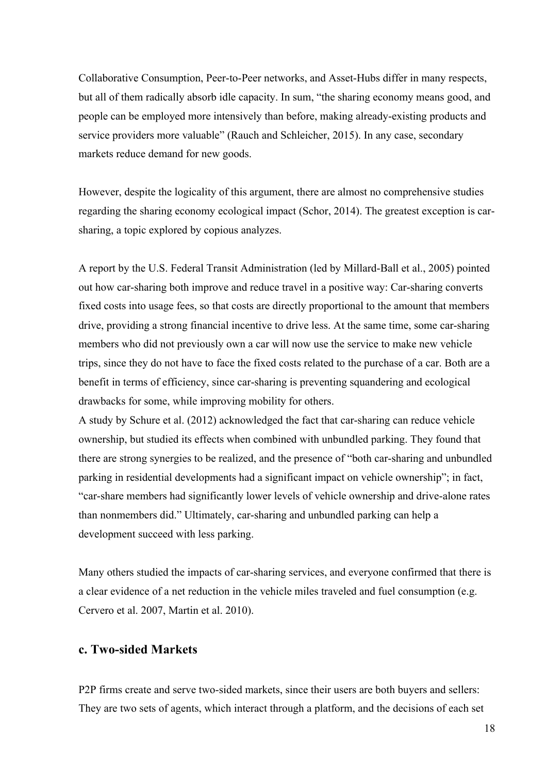Collaborative Consumption, Peer-to-Peer networks, and Asset-Hubs differ in many respects, but all of them radically absorb idle capacity. In sum, "the sharing economy means good, and people can be employed more intensively than before, making already-existing products and service providers more valuable" (Rauch and Schleicher, 2015). In any case, secondary markets reduce demand for new goods.

However, despite the logicality of this argument, there are almost no comprehensive studies regarding the sharing economy ecological impact (Schor, 2014). The greatest exception is carsharing, a topic explored by copious analyzes.

A report by the U.S. Federal Transit Administration (led by Millard-Ball et al., 2005) pointed out how car-sharing both improve and reduce travel in a positive way: Car-sharing converts fixed costs into usage fees, so that costs are directly proportional to the amount that members drive, providing a strong financial incentive to drive less. At the same time, some car-sharing members who did not previously own a car will now use the service to make new vehicle trips, since they do not have to face the fixed costs related to the purchase of a car. Both are a benefit in terms of efficiency, since car-sharing is preventing squandering and ecological drawbacks for some, while improving mobility for others.

A study by Schure et al. (2012) acknowledged the fact that car-sharing can reduce vehicle ownership, but studied its effects when combined with unbundled parking. They found that there are strong synergies to be realized, and the presence of "both car-sharing and unbundled parking in residential developments had a significant impact on vehicle ownership"; in fact, "car-share members had significantly lower levels of vehicle ownership and drive-alone rates than nonmembers did." Ultimately, car-sharing and unbundled parking can help a development succeed with less parking.

Many others studied the impacts of car-sharing services, and everyone confirmed that there is a clear evidence of a net reduction in the vehicle miles traveled and fuel consumption (e.g. Cervero et al. 2007, Martin et al. 2010).

#### **c. Two-sided Markets**

P2P firms create and serve two-sided markets, since their users are both buyers and sellers: They are two sets of agents, which interact through a platform, and the decisions of each set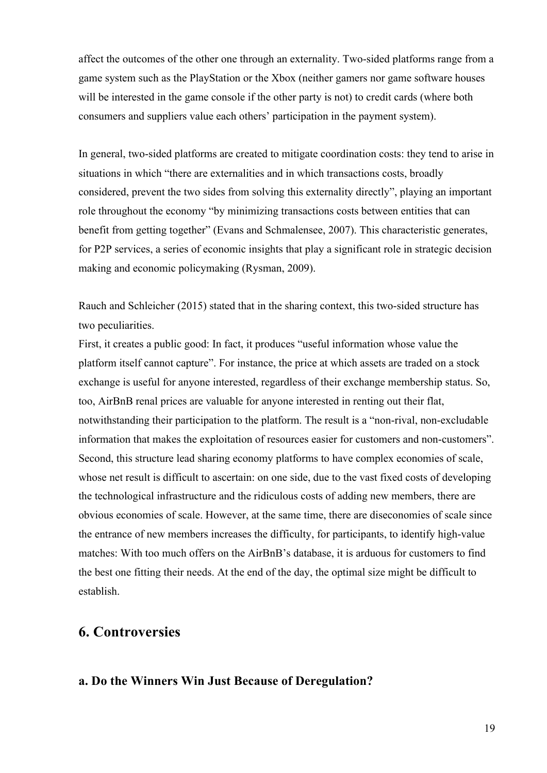affect the outcomes of the other one through an externality. Two-sided platforms range from a game system such as the PlayStation or the Xbox (neither gamers nor game software houses will be interested in the game console if the other party is not) to credit cards (where both consumers and suppliers value each others' participation in the payment system).

In general, two-sided platforms are created to mitigate coordination costs: they tend to arise in situations in which "there are externalities and in which transactions costs, broadly considered, prevent the two sides from solving this externality directly", playing an important role throughout the economy "by minimizing transactions costs between entities that can benefit from getting together" (Evans and Schmalensee, 2007). This characteristic generates, for P2P services, a series of economic insights that play a significant role in strategic decision making and economic policymaking (Rysman, 2009).

Rauch and Schleicher (2015) stated that in the sharing context, this two-sided structure has two peculiarities.

First, it creates a public good: In fact, it produces "useful information whose value the platform itself cannot capture". For instance, the price at which assets are traded on a stock exchange is useful for anyone interested, regardless of their exchange membership status. So, too, AirBnB renal prices are valuable for anyone interested in renting out their flat, notwithstanding their participation to the platform. The result is a "non-rival, non-excludable information that makes the exploitation of resources easier for customers and non-customers". Second, this structure lead sharing economy platforms to have complex economies of scale, whose net result is difficult to ascertain: on one side, due to the vast fixed costs of developing the technological infrastructure and the ridiculous costs of adding new members, there are obvious economies of scale. However, at the same time, there are diseconomies of scale since the entrance of new members increases the difficulty, for participants, to identify high-value matches: With too much offers on the AirBnB's database, it is arduous for customers to find the best one fitting their needs. At the end of the day, the optimal size might be difficult to establish.

## **6. Controversies**

#### **a. Do the Winners Win Just Because of Deregulation?**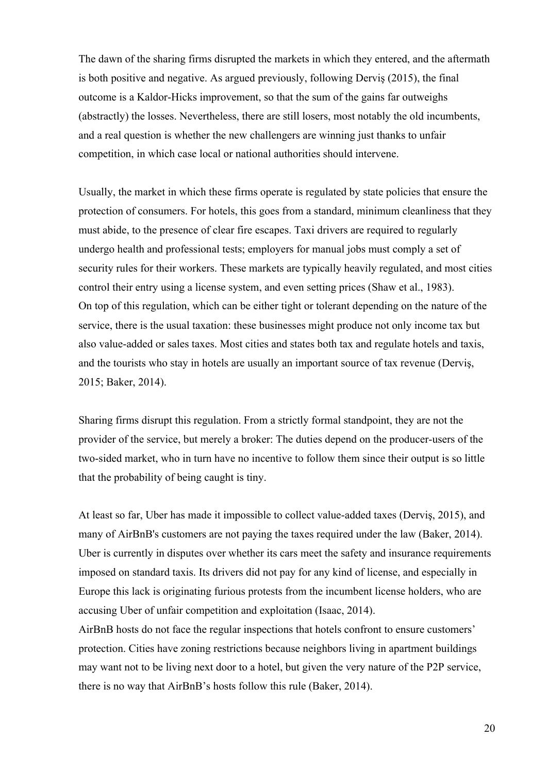The dawn of the sharing firms disrupted the markets in which they entered, and the aftermath is both positive and negative. As argued previously, following Derviş (2015), the final outcome is a Kaldor-Hicks improvement, so that the sum of the gains far outweighs (abstractly) the losses. Nevertheless, there are still losers, most notably the old incumbents, and a real question is whether the new challengers are winning just thanks to unfair competition, in which case local or national authorities should intervene.

Usually, the market in which these firms operate is regulated by state policies that ensure the protection of consumers. For hotels, this goes from a standard, minimum cleanliness that they must abide, to the presence of clear fire escapes. Taxi drivers are required to regularly undergo health and professional tests; employers for manual jobs must comply a set of security rules for their workers. These markets are typically heavily regulated, and most cities control their entry using a license system, and even setting prices (Shaw et al., 1983). On top of this regulation, which can be either tight or tolerant depending on the nature of the service, there is the usual taxation: these businesses might produce not only income tax but also value-added or sales taxes. Most cities and states both tax and regulate hotels and taxis, and the tourists who stay in hotels are usually an important source of tax revenue (Derviş, 2015; Baker, 2014).

Sharing firms disrupt this regulation. From a strictly formal standpoint, they are not the provider of the service, but merely a broker: The duties depend on the producer-users of the two-sided market, who in turn have no incentive to follow them since their output is so little that the probability of being caught is tiny.

At least so far, Uber has made it impossible to collect value-added taxes (Derviş, 2015), and many of AirBnB's customers are not paying the taxes required under the law (Baker, 2014). Uber is currently in disputes over whether its cars meet the safety and insurance requirements imposed on standard taxis. Its drivers did not pay for any kind of license, and especially in Europe this lack is originating furious protests from the incumbent license holders, who are accusing Uber of unfair competition and exploitation (Isaac, 2014).

AirBnB hosts do not face the regular inspections that hotels confront to ensure customers' protection. Cities have zoning restrictions because neighbors living in apartment buildings may want not to be living next door to a hotel, but given the very nature of the P2P service, there is no way that AirBnB's hosts follow this rule (Baker, 2014).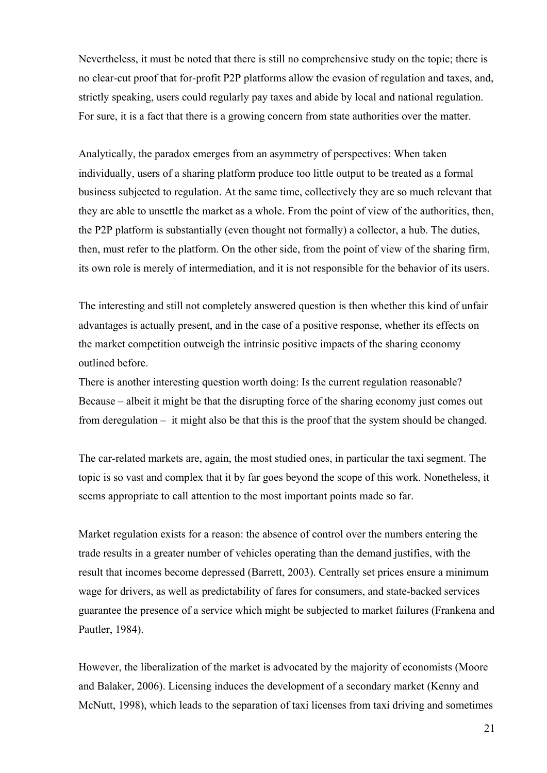Nevertheless, it must be noted that there is still no comprehensive study on the topic; there is no clear-cut proof that for-profit P2P platforms allow the evasion of regulation and taxes, and, strictly speaking, users could regularly pay taxes and abide by local and national regulation. For sure, it is a fact that there is a growing concern from state authorities over the matter.

Analytically, the paradox emerges from an asymmetry of perspectives: When taken individually, users of a sharing platform produce too little output to be treated as a formal business subjected to regulation. At the same time, collectively they are so much relevant that they are able to unsettle the market as a whole. From the point of view of the authorities, then, the P2P platform is substantially (even thought not formally) a collector, a hub. The duties, then, must refer to the platform. On the other side, from the point of view of the sharing firm, its own role is merely of intermediation, and it is not responsible for the behavior of its users.

The interesting and still not completely answered question is then whether this kind of unfair advantages is actually present, and in the case of a positive response, whether its effects on the market competition outweigh the intrinsic positive impacts of the sharing economy outlined before.

There is another interesting question worth doing: Is the current regulation reasonable? Because – albeit it might be that the disrupting force of the sharing economy just comes out from deregulation – it might also be that this is the proof that the system should be changed.

The car-related markets are, again, the most studied ones, in particular the taxi segment. The topic is so vast and complex that it by far goes beyond the scope of this work. Nonetheless, it seems appropriate to call attention to the most important points made so far.

Market regulation exists for a reason: the absence of control over the numbers entering the trade results in a greater number of vehicles operating than the demand justifies, with the result that incomes become depressed (Barrett, 2003). Centrally set prices ensure a minimum wage for drivers, as well as predictability of fares for consumers, and state-backed services guarantee the presence of a service which might be subjected to market failures (Frankena and Pautler, 1984).

However, the liberalization of the market is advocated by the majority of economists (Moore and Balaker, 2006). Licensing induces the development of a secondary market (Kenny and McNutt, 1998), which leads to the separation of taxi licenses from taxi driving and sometimes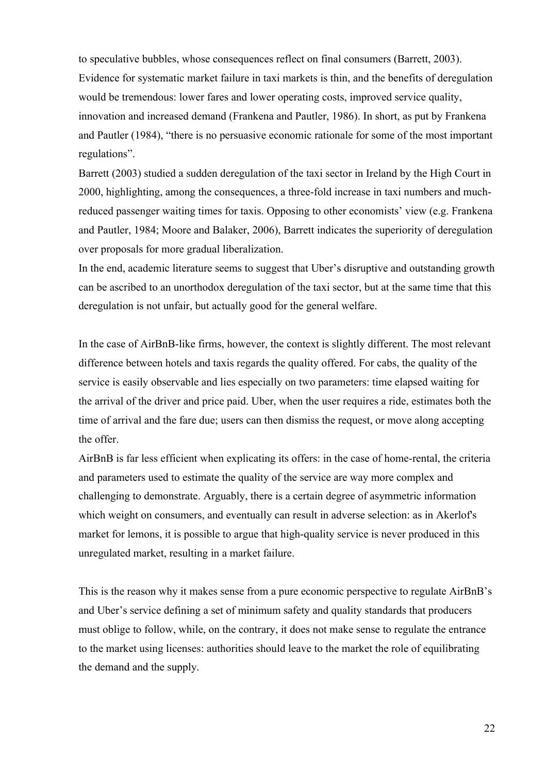to speculative bubbles, whose consequences reflect on final consumers (Barrett, 2003). Evidence for systematic market failure in taxi markets is thin, and the benefits of deregulation would be tremendous: lower fares and lower operating costs, improved service quality, innovation and increased demand (Frankena and Pautler, 1986). In short, as put by Frankena and Pautler (1984), "there is no persuasive economic rationale for some of the most important regulations".

Barrett (2003) studied a sudden deregulation of the taxi sector in Ireland by the High Court in 2000, highlighting, among the consequences, a three-fold increase in taxi numbers and muchreduced passenger waiting times for taxis. Opposing to other economists' view (e.g. Frankena and Pautler, 1984; Moore and Balaker, 2006), Barrett indicates the superiority of deregulation over proposals for more gradual liberalization.

In the end, academic literature seems to suggest that Uber's disruptive and outstanding growth can be ascribed to an unorthodox deregulation of the taxi sector, but at the same time that this deregulation is not unfair, but actually good for the general welfare.

In the case of AirBnB-like firms, however, the context is slightly different. The most relevant difference between hotels and taxis regards the quality offered. For cabs, the quality of the service is easily observable and lies especially on two parameters: time elapsed waiting for the arrival of the driver and price paid. Uber, when the user requires a ride, estimates both the time of arrival and the fare due; users can then dismiss the request, or move along accepting the offer.

AirBnB is far less efficient when explicating its offers: in the case of home-rental, the criteria and parameters used to estimate the quality of the service are way more complex and challenging to demonstrate. Arguably, there is a certain degree of asymmetric information which weight on consumers, and eventually can result in adverse selection: as in Akerlof's market for lemons, it is possible to argue that high-quality service is never produced in this unregulated market, resulting in a market failure.

This is the reason why it makes sense from a pure economic perspective to regulate AirBnB's and Uber's service defining a set of minimum safety and quality standards that producers must oblige to follow, while, on the contrary, it does not make sense to regulate the entrance to the market using licenses: authorities should leave to the market the role of equilibrating the demand and the supply.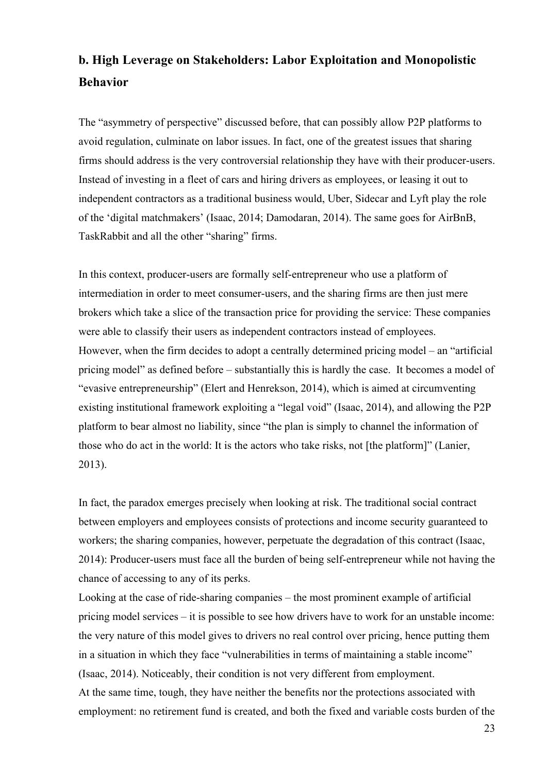## **b. High Leverage on Stakeholders: Labor Exploitation and Monopolistic Behavior**

The "asymmetry of perspective" discussed before, that can possibly allow P2P platforms to avoid regulation, culminate on labor issues. In fact, one of the greatest issues that sharing firms should address is the very controversial relationship they have with their producer-users. Instead of investing in a fleet of cars and hiring drivers as employees, or leasing it out to independent contractors as a traditional business would, Uber, Sidecar and Lyft play the role of the 'digital matchmakers' (Isaac, 2014; Damodaran, 2014). The same goes for AirBnB, TaskRabbit and all the other "sharing" firms.

In this context, producer-users are formally self-entrepreneur who use a platform of intermediation in order to meet consumer-users, and the sharing firms are then just mere brokers which take a slice of the transaction price for providing the service: These companies were able to classify their users as independent contractors instead of employees. However, when the firm decides to adopt a centrally determined pricing model – an "artificial pricing model" as defined before – substantially this is hardly the case. It becomes a model of "evasive entrepreneurship" (Elert and Henrekson, 2014), which is aimed at circumventing existing institutional framework exploiting a "legal void" (Isaac, 2014), and allowing the P2P platform to bear almost no liability, since "the plan is simply to channel the information of those who do act in the world: It is the actors who take risks, not [the platform]" (Lanier, 2013).

In fact, the paradox emerges precisely when looking at risk. The traditional social contract between employers and employees consists of protections and income security guaranteed to workers; the sharing companies, however, perpetuate the degradation of this contract (Isaac, 2014): Producer-users must face all the burden of being self-entrepreneur while not having the chance of accessing to any of its perks.

Looking at the case of ride-sharing companies – the most prominent example of artificial pricing model services – it is possible to see how drivers have to work for an unstable income: the very nature of this model gives to drivers no real control over pricing, hence putting them in a situation in which they face "vulnerabilities in terms of maintaining a stable income" (Isaac, 2014). Noticeably, their condition is not very different from employment. At the same time, tough, they have neither the benefits nor the protections associated with employment: no retirement fund is created, and both the fixed and variable costs burden of the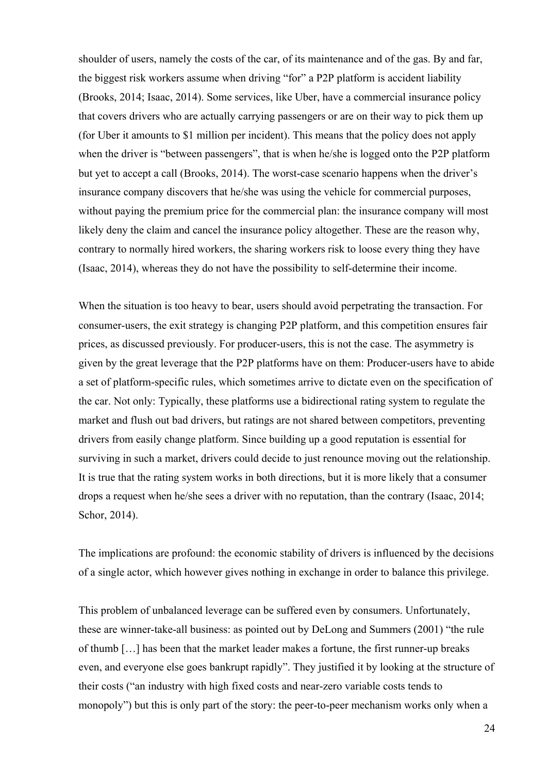shoulder of users, namely the costs of the car, of its maintenance and of the gas. By and far, the biggest risk workers assume when driving "for" a P2P platform is accident liability (Brooks, 2014; Isaac, 2014). Some services, like Uber, have a commercial insurance policy that covers drivers who are actually carrying passengers or are on their way to pick them up (for Uber it amounts to \$1 million per incident). This means that the policy does not apply when the driver is "between passengers", that is when he/she is logged onto the P2P platform but yet to accept a call (Brooks, 2014). The worst-case scenario happens when the driver's insurance company discovers that he/she was using the vehicle for commercial purposes, without paying the premium price for the commercial plan: the insurance company will most likely deny the claim and cancel the insurance policy altogether. These are the reason why, contrary to normally hired workers, the sharing workers risk to loose every thing they have (Isaac, 2014), whereas they do not have the possibility to self-determine their income.

When the situation is too heavy to bear, users should avoid perpetrating the transaction. For consumer-users, the exit strategy is changing P2P platform, and this competition ensures fair prices, as discussed previously. For producer-users, this is not the case. The asymmetry is given by the great leverage that the P2P platforms have on them: Producer-users have to abide a set of platform-specific rules, which sometimes arrive to dictate even on the specification of the car. Not only: Typically, these platforms use a bidirectional rating system to regulate the market and flush out bad drivers, but ratings are not shared between competitors, preventing drivers from easily change platform. Since building up a good reputation is essential for surviving in such a market, drivers could decide to just renounce moving out the relationship. It is true that the rating system works in both directions, but it is more likely that a consumer drops a request when he/she sees a driver with no reputation, than the contrary (Isaac, 2014; Schor, 2014).

The implications are profound: the economic stability of drivers is influenced by the decisions of a single actor, which however gives nothing in exchange in order to balance this privilege.

This problem of unbalanced leverage can be suffered even by consumers. Unfortunately, these are winner-take-all business: as pointed out by DeLong and Summers (2001) "the rule of thumb […] has been that the market leader makes a fortune, the first runner-up breaks even, and everyone else goes bankrupt rapidly". They justified it by looking at the structure of their costs ("an industry with high fixed costs and near-zero variable costs tends to monopoly") but this is only part of the story: the peer-to-peer mechanism works only when a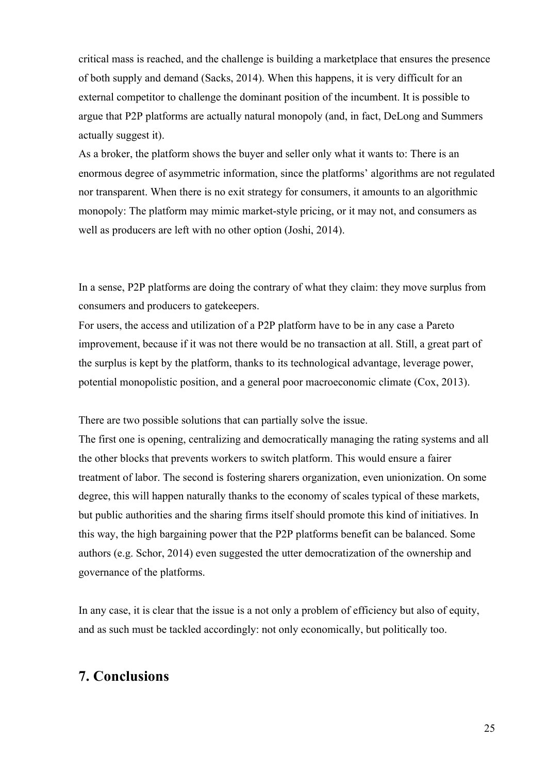critical mass is reached, and the challenge is building a marketplace that ensures the presence of both supply and demand (Sacks, 2014). When this happens, it is very difficult for an external competitor to challenge the dominant position of the incumbent. It is possible to argue that P2P platforms are actually natural monopoly (and, in fact, DeLong and Summers actually suggest it).

As a broker, the platform shows the buyer and seller only what it wants to: There is an enormous degree of asymmetric information, since the platforms' algorithms are not regulated nor transparent. When there is no exit strategy for consumers, it amounts to an algorithmic monopoly: The platform may mimic market-style pricing, or it may not, and consumers as well as producers are left with no other option (Joshi, 2014).

In a sense, P2P platforms are doing the contrary of what they claim: they move surplus from consumers and producers to gatekeepers.

For users, the access and utilization of a P2P platform have to be in any case a Pareto improvement, because if it was not there would be no transaction at all. Still, a great part of the surplus is kept by the platform, thanks to its technological advantage, leverage power, potential monopolistic position, and a general poor macroeconomic climate (Cox, 2013).

There are two possible solutions that can partially solve the issue.

The first one is opening, centralizing and democratically managing the rating systems and all the other blocks that prevents workers to switch platform. This would ensure a fairer treatment of labor. The second is fostering sharers organization, even unionization. On some degree, this will happen naturally thanks to the economy of scales typical of these markets, but public authorities and the sharing firms itself should promote this kind of initiatives. In this way, the high bargaining power that the P2P platforms benefit can be balanced. Some authors (e.g. Schor, 2014) even suggested the utter democratization of the ownership and governance of the platforms.

In any case, it is clear that the issue is a not only a problem of efficiency but also of equity, and as such must be tackled accordingly: not only economically, but politically too.

## **7. Conclusions**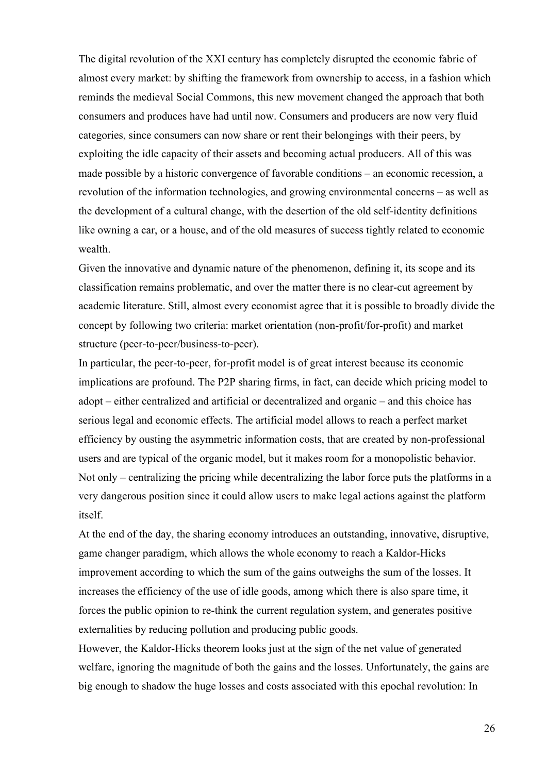The digital revolution of the XXI century has completely disrupted the economic fabric of almost every market: by shifting the framework from ownership to access, in a fashion which reminds the medieval Social Commons, this new movement changed the approach that both consumers and produces have had until now. Consumers and producers are now very fluid categories, since consumers can now share or rent their belongings with their peers, by exploiting the idle capacity of their assets and becoming actual producers. All of this was made possible by a historic convergence of favorable conditions – an economic recession, a revolution of the information technologies, and growing environmental concerns – as well as the development of a cultural change, with the desertion of the old self-identity definitions like owning a car, or a house, and of the old measures of success tightly related to economic wealth.

Given the innovative and dynamic nature of the phenomenon, defining it, its scope and its classification remains problematic, and over the matter there is no clear-cut agreement by academic literature. Still, almost every economist agree that it is possible to broadly divide the concept by following two criteria: market orientation (non-profit/for-profit) and market structure (peer-to-peer/business-to-peer).

In particular, the peer-to-peer, for-profit model is of great interest because its economic implications are profound. The P2P sharing firms, in fact, can decide which pricing model to adopt – either centralized and artificial or decentralized and organic – and this choice has serious legal and economic effects. The artificial model allows to reach a perfect market efficiency by ousting the asymmetric information costs, that are created by non-professional users and are typical of the organic model, but it makes room for a monopolistic behavior. Not only – centralizing the pricing while decentralizing the labor force puts the platforms in a very dangerous position since it could allow users to make legal actions against the platform itself.

At the end of the day, the sharing economy introduces an outstanding, innovative, disruptive, game changer paradigm, which allows the whole economy to reach a Kaldor-Hicks improvement according to which the sum of the gains outweighs the sum of the losses. It increases the efficiency of the use of idle goods, among which there is also spare time, it forces the public opinion to re-think the current regulation system, and generates positive externalities by reducing pollution and producing public goods.

However, the Kaldor-Hicks theorem looks just at the sign of the net value of generated welfare, ignoring the magnitude of both the gains and the losses. Unfortunately, the gains are big enough to shadow the huge losses and costs associated with this epochal revolution: In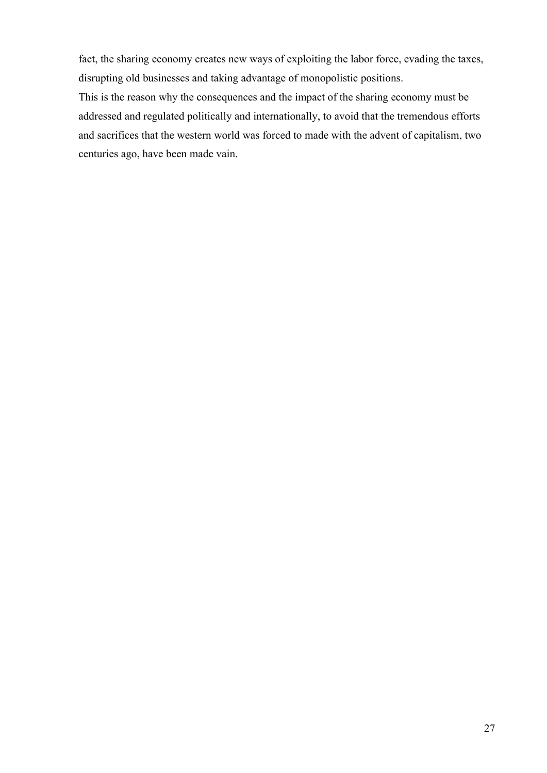fact, the sharing economy creates new ways of exploiting the labor force, evading the taxes, disrupting old businesses and taking advantage of monopolistic positions.

This is the reason why the consequences and the impact of the sharing economy must be addressed and regulated politically and internationally, to avoid that the tremendous efforts and sacrifices that the western world was forced to made with the advent of capitalism, two centuries ago, have been made vain.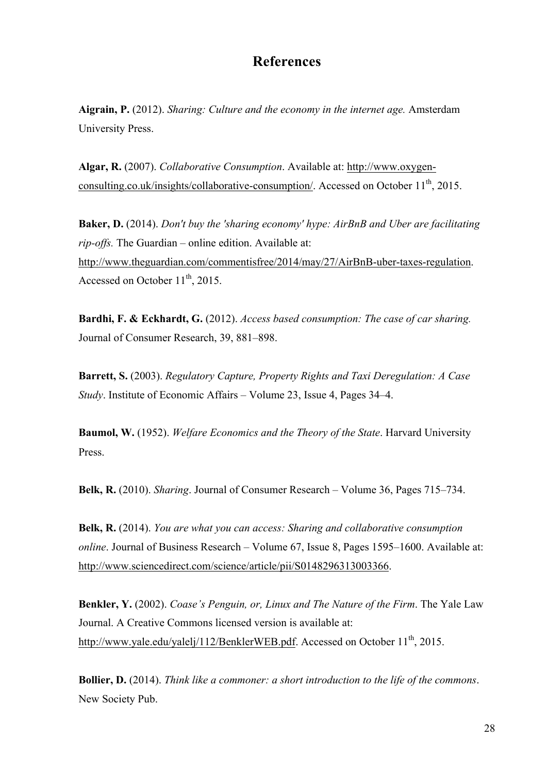## **References**

**Aigrain, P.** (2012). *Sharing: Culture and the economy in the internet age.* Amsterdam University Press.

**Algar, R.** (2007). *Collaborative Consumption*. Available at: http://www.oxygenconsulting.co.uk/insights/collaborative-consumption/. Accessed on October  $11<sup>th</sup>$ , 2015.

**Baker, D.** (2014). *Don't buy the 'sharing economy' hype: AirBnB and Uber are facilitating rip-offs.* The Guardian – online edition. Available at: http://www.theguardian.com/commentisfree/2014/may/27/AirBnB-uber-taxes-regulation. Accessed on October  $11<sup>th</sup>$ , 2015.

**Bardhi, F. & Eckhardt, G.** (2012). *Access based consumption: The case of car sharing.* Journal of Consumer Research, 39, 881–898.

**Barrett, S.** (2003). *Regulatory Capture, Property Rights and Taxi Deregulation: A Case Study*. Institute of Economic Affairs – Volume 23, Issue 4, Pages 34–4.

**Baumol, W.** (1952). *Welfare Economics and the Theory of the State*. Harvard University Press.

**Belk, R.** (2010). *Sharing*. Journal of Consumer Research – Volume 36, Pages 715–734.

**Belk, R.** (2014). *You are what you can access: Sharing and collaborative consumption online*. Journal of Business Research – Volume 67, Issue 8, Pages 1595–1600. Available at: http://www.sciencedirect.com/science/article/pii/S0148296313003366.

**Benkler, Y.** (2002). *Coase's Penguin, or, Linux and The Nature of the Firm*. The Yale Law Journal. A Creative Commons licensed version is available at: http://www.yale.edu/yalelj/112/BenklerWEB.pdf. Accessed on October 11<sup>th</sup>, 2015.

**Bollier, D.** (2014). *Think like a commoner: a short introduction to the life of the commons*. New Society Pub.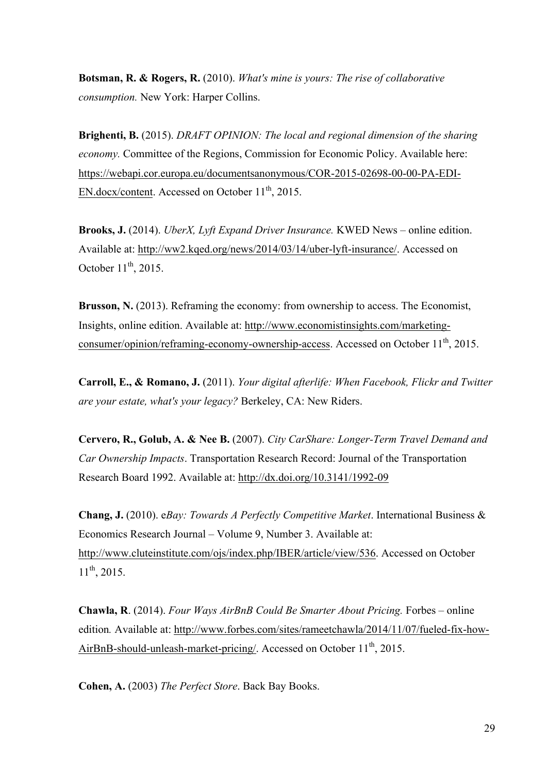**Botsman, R. & Rogers, R.** (2010). *What's mine is yours: The rise of collaborative consumption.* New York: Harper Collins.

**Brighenti, B.** (2015). *DRAFT OPINION: The local and regional dimension of the sharing economy.* Committee of the Regions, Commission for Economic Policy. Available here: https://webapi.cor.europa.eu/documentsanonymous/COR-2015-02698-00-00-PA-EDI-EN.docx/content. Accessed on October  $11^{th}$ , 2015.

**Brooks, J.** (2014). *UberX, Lyft Expand Driver Insurance.* KWED News – online edition. Available at: http://ww2.kqed.org/news/2014/03/14/uber-lyft-insurance/. Accessed on October  $11^{th}$ , 2015.

**Brusson, N.** (2013). Reframing the economy: from ownership to access. The Economist, Insights, online edition. Available at: http://www.economistinsights.com/marketingconsumer/opinion/reframing-economy-ownership-access. Accessed on October 11<sup>th</sup>, 2015.

**Carroll, E., & Romano, J.** (2011). *Your digital afterlife: When Facebook, Flickr and Twitter are your estate, what's your legacy?* Berkeley, CA: New Riders.

**Cervero, R., Golub, A. & Nee B.** (2007). *City CarShare: Longer-Term Travel Demand and Car Ownership Impacts*. Transportation Research Record: Journal of the Transportation Research Board 1992. Available at: http://dx.doi.org/10.3141/1992-09

**Chang, J.** (2010). e*Bay: Towards A Perfectly Competitive Market*. International Business & Economics Research Journal – Volume 9, Number 3. Available at: http://www.cluteinstitute.com/ojs/index.php/IBER/article/view/536. Accessed on October  $11^{th}$ , 2015.

**Chawla, R**. (2014). *Four Ways AirBnB Could Be Smarter About Pricing.* Forbes – online edition*.* Available at: http://www.forbes.com/sites/rameetchawla/2014/11/07/fueled-fix-how-AirBnB-should-unleash-market-pricing/. Accessed on October  $11<sup>th</sup>$ , 2015.

**Cohen, A.** (2003) *The Perfect Store*. Back Bay Books.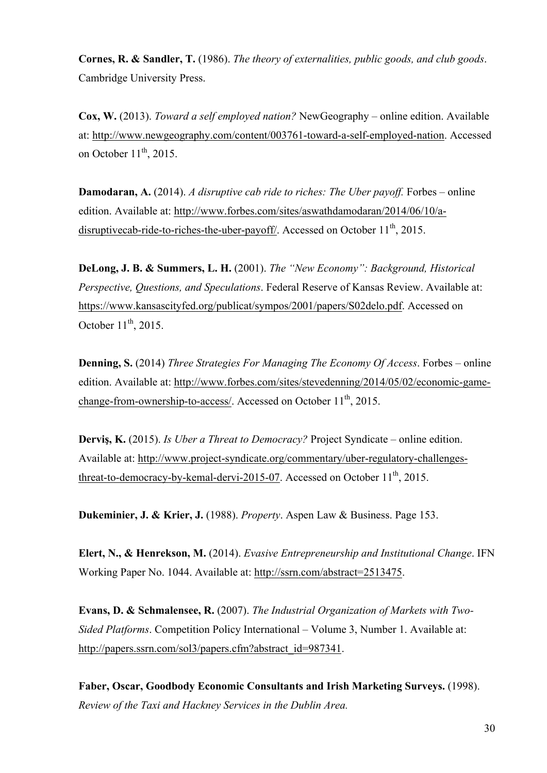**Cornes, R. & Sandler, T.** (1986). *The theory of externalities, public goods, and club goods*. Cambridge University Press.

**Cox, W.** (2013). *Toward a self employed nation?* NewGeography – online edition. Available at: http://www.newgeography.com/content/003761-toward-a-self-employed-nation. Accessed on October  $11<sup>th</sup>$ , 2015.

**Damodaran, A.** (2014). *A disruptive cab ride to riches: The Uber payoff.* Forbes – online edition. Available at: http://www.forbes.com/sites/aswathdamodaran/2014/06/10/adisruptivecab-ride-to-riches-the-uber-payoff/. Accessed on October  $11<sup>th</sup>$ , 2015.

**DeLong, J. B. & Summers, L. H.** (2001). *The "New Economy": Background, Historical Perspective, Questions, and Speculations*. Federal Reserve of Kansas Review. Available at: https://www.kansascityfed.org/publicat/sympos/2001/papers/S02delo.pdf. Accessed on October  $11^{th}$ , 2015.

**Denning, S.** (2014) *Three Strategies For Managing The Economy Of Access*. Forbes – online edition. Available at: http://www.forbes.com/sites/stevedenning/2014/05/02/economic-gamechange-from-ownership-to-access/. Accessed on October 11<sup>th</sup>, 2015.

**Derviş, K.** (2015). *Is Uber a Threat to Democracy?* Project Syndicate – online edition. Available at: http://www.project-syndicate.org/commentary/uber-regulatory-challengesthreat-to-democracy-by-kemal-dervi-2015-07. Accessed on October  $11<sup>th</sup>$ , 2015.

**Dukeminier, J. & Krier, J.** (1988). *Property*. Aspen Law & Business. Page 153.

**Elert, N., & Henrekson, M.** (2014). *Evasive Entrepreneurship and Institutional Change*. IFN Working Paper No. 1044. Available at: http://ssrn.com/abstract=2513475.

**Evans, D. & Schmalensee, R.** (2007). *The Industrial Organization of Markets with Two-Sided Platforms*. Competition Policy International – Volume 3, Number 1. Available at: http://papers.ssrn.com/sol3/papers.cfm?abstract\_id=987341.

**Faber, Oscar, Goodbody Economic Consultants and Irish Marketing Surveys.** (1998). *Review of the Taxi and Hackney Services in the Dublin Area.*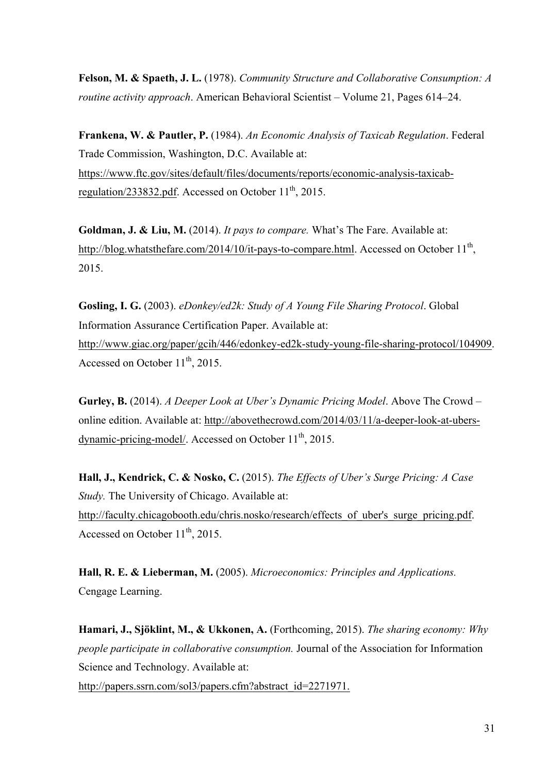**Felson, M. & Spaeth, J. L.** (1978). *Community Structure and Collaborative Consumption: A routine activity approach*. American Behavioral Scientist – Volume 21, Pages 614–24.

**Frankena, W. & Pautler, P.** (1984). *An Economic Analysis of Taxicab Regulation*. Federal Trade Commission, Washington, D.C. Available at: https://www.ftc.gov/sites/default/files/documents/reports/economic-analysis-taxicabregulation/233832.pdf. Accessed on October  $11^{th}$ , 2015.

**Goldman, J. & Liu, M.** (2014). *It pays to compare.* What's The Fare. Available at: http://blog.whatsthefare.com/2014/10/it-pays-to-compare.html. Accessed on October  $11<sup>th</sup>$ , 2015.

**Gosling, I. G.** (2003). *eDonkey/ed2k: Study of A Young File Sharing Protocol*. Global Information Assurance Certification Paper. Available at: http://www.giac.org/paper/gcih/446/edonkey-ed2k-study-young-file-sharing-protocol/104909. Accessed on October  $11^{th}$ , 2015.

**Gurley, B.** (2014). *A Deeper Look at Uber's Dynamic Pricing Model*. Above The Crowd – online edition. Available at: http://abovethecrowd.com/2014/03/11/a-deeper-look-at-ubersdynamic-pricing-model/. Accessed on October  $11<sup>th</sup>$ , 2015.

**Hall, J., Kendrick, C. & Nosko, C.** (2015). *The Effects of Uber's Surge Pricing: A Case Study.* The University of Chicago. Available at: http://faculty.chicagobooth.edu/chris.nosko/research/effects\_of\_uber's\_surge\_pricing.pdf. Accessed on October  $11<sup>th</sup>$ , 2015.

**Hall, R. E. & Lieberman, M.** (2005). *Microeconomics: Principles and Applications.* Cengage Learning.

**Hamari, J., Sjöklint, M., & Ukkonen, A.** (Forthcoming, 2015). *The sharing economy: Why people participate in collaborative consumption.* Journal of the Association for Information Science and Technology. Available at:

http://papers.ssrn.com/sol3/papers.cfm?abstract\_id=2271971.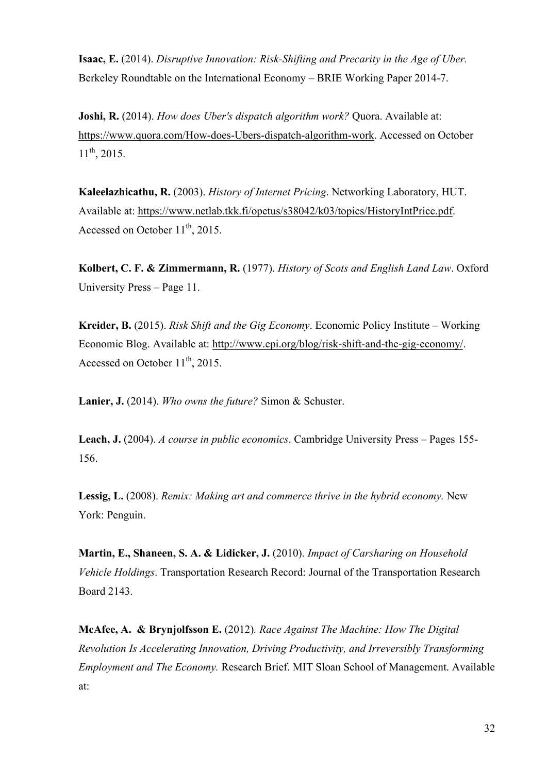**Isaac, E.** (2014). *Disruptive Innovation: Risk-Shifting and Precarity in the Age of Uber.* Berkeley Roundtable on the International Economy – BRIE Working Paper 2014-7.

**Joshi, R.** (2014). *How does Uber's dispatch algorithm work?* Quora. Available at: https://www.quora.com/How-does-Ubers-dispatch-algorithm-work. Accessed on October  $11^{th}$ , 2015.

**Kaleelazhicathu, R.** (2003). *History of Internet Pricing*. Networking Laboratory, HUT. Available at: https://www.netlab.tkk.fi/opetus/s38042/k03/topics/HistoryIntPrice.pdf. Accessed on October  $11^{th}$ , 2015.

**Kolbert, C. F. & Zimmermann, R.** (1977). *History of Scots and English Land Law*. Oxford University Press – Page 11.

**Kreider, B.** (2015). *Risk Shift and the Gig Economy*. Economic Policy Institute – Working Economic Blog. Available at: http://www.epi.org/blog/risk-shift-and-the-gig-economy/. Accessed on October  $11^{th}$ , 2015.

**Lanier, J.** (2014). *Who owns the future?* Simon & Schuster.

**Leach, J.** (2004). *A course in public economics*. Cambridge University Press – Pages 155- 156.

**Lessig, L.** (2008). *Remix: Making art and commerce thrive in the hybrid economy.* New York: Penguin.

**Martin, E., Shaneen, S. A. & Lidicker, J.** (2010). *Impact of Carsharing on Household Vehicle Holdings*. Transportation Research Record: Journal of the Transportation Research Board 2143.

**McAfee, A. & Brynjolfsson E.** (2012)*. Race Against The Machine: How The Digital Revolution Is Accelerating Innovation, Driving Productivity, and Irreversibly Transforming Employment and The Economy.* Research Brief. MIT Sloan School of Management. Available at: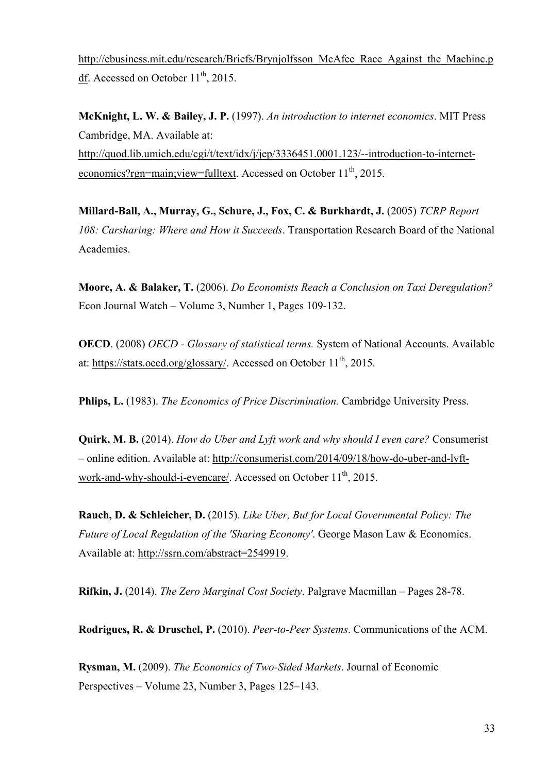http://ebusiness.mit.edu/research/Briefs/Brynjolfsson\_McAfee\_Race\_Against\_the\_Machine.p  $\underline{df}$ . Accessed on October 11<sup>th</sup>, 2015.

**McKnight, L. W. & Bailey, J. P.** (1997). *An introduction to internet economics*. MIT Press Cambridge, MA. Available at: http://quod.lib.umich.edu/cgi/t/text/idx/j/jep/3336451.0001.123/--introduction-to-interneteconomics?rgn=main;view=fulltext. Accessed on October  $11<sup>th</sup>$ , 2015.

**Millard-Ball, A., Murray, G., Schure, J., Fox, C. & Burkhardt, J.** (2005) *TCRP Report 108: Carsharing: Where and How it Succeeds*. Transportation Research Board of the National Academies.

**Moore, A. & Balaker, T.** (2006). *Do Economists Reach a Conclusion on Taxi Deregulation?* Econ Journal Watch – Volume 3, Number 1, Pages 109-132.

**OECD**. (2008) *OECD - Glossary of statistical terms.* System of National Accounts. Available at: https://stats.oecd.org/glossary/. Accessed on October  $11<sup>th</sup>$ , 2015.

**Phlips, L.** (1983). *The Economics of Price Discrimination.* Cambridge University Press.

**Quirk, M. B.** (2014). *How do Uber and Lyft work and why should I even care?* Consumerist – online edition. Available at: http://consumerist.com/2014/09/18/how-do-uber-and-lyftwork-and-why-should-i-evencare/. Accessed on October 11<sup>th</sup>, 2015.

**Rauch, D. & Schleicher, D.** (2015). *Like Uber, But for Local Governmental Policy: The Future of Local Regulation of the 'Sharing Economy'*. George Mason Law & Economics. Available at: http://ssrn.com/abstract=2549919.

**Rifkin, J.** (2014). *The Zero Marginal Cost Society*. Palgrave Macmillan – Pages 28-78.

**Rodrigues, R. & Druschel, P.** (2010). *Peer-to-Peer Systems*. Communications of the ACM.

**Rysman, M.** (2009). *The Economics of Two-Sided Markets*. Journal of Economic Perspectives – Volume 23, Number 3, Pages 125–143.